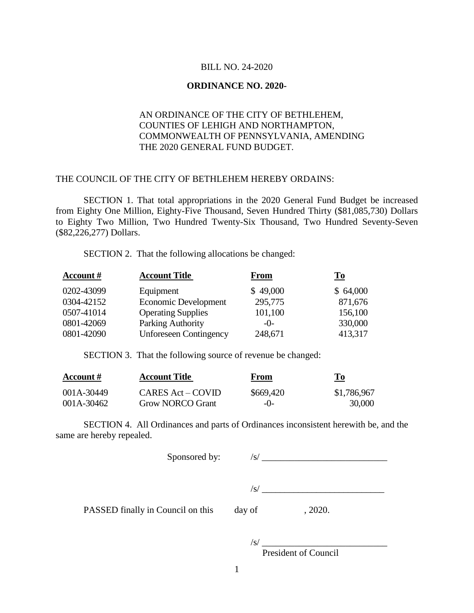#### BILL NO. 24-2020

## **ORDINANCE NO. 2020-**

## AN ORDINANCE OF THE CITY OF BETHLEHEM, COUNTIES OF LEHIGH AND NORTHAMPTON, COMMONWEALTH OF PENNSYLVANIA, AMENDING THE 2020 GENERAL FUND BUDGET.

### THE COUNCIL OF THE CITY OF BETHLEHEM HEREBY ORDAINS:

SECTION 1. That total appropriations in the 2020 General Fund Budget be increased from Eighty One Million, Eighty-Five Thousand, Seven Hundred Thirty (\$81,085,730) Dollars to Eighty Two Million, Two Hundred Twenty-Six Thousand, Two Hundred Seventy-Seven (\$82,226,277) Dollars.

SECTION 2. That the following allocations be changed:

| <b>Account</b> # | <b>Account Title</b>          | From     | $\underline{\mathbf{To}}$ |
|------------------|-------------------------------|----------|---------------------------|
| 0202-43099       | Equipment                     | \$49,000 | \$64,000                  |
| 0304-42152       | Economic Development          | 295,775  | 871,676                   |
| 0507-41014       | <b>Operating Supplies</b>     | 101,100  | 156,100                   |
| 0801-42069       | Parking Authority             | $-()$ -  | 330,000                   |
| 0801-42090       | <b>Unforeseen Contingency</b> | 248,671  | 413,317                   |

SECTION 3. That the following source of revenue be changed:

| Account #  | <b>Account Title</b>    | From      | To          |
|------------|-------------------------|-----------|-------------|
| 001A-30449 | CARES Act – COVID       | \$669,420 | \$1,786,967 |
| 001A-30462 | <b>Grow NORCO Grant</b> | $-()$     | 30,000      |

SECTION 4. All Ordinances and parts of Ordinances inconsistent herewith be, and the same are hereby repealed.

| Sponsored by:                     | /S/    |         |  |
|-----------------------------------|--------|---------|--|
|                                   | 'S/    |         |  |
| PASSED finally in Council on this | day of | , 2020. |  |
|                                   |        |         |  |

 $\frac{1}{s}$ 

President of Council